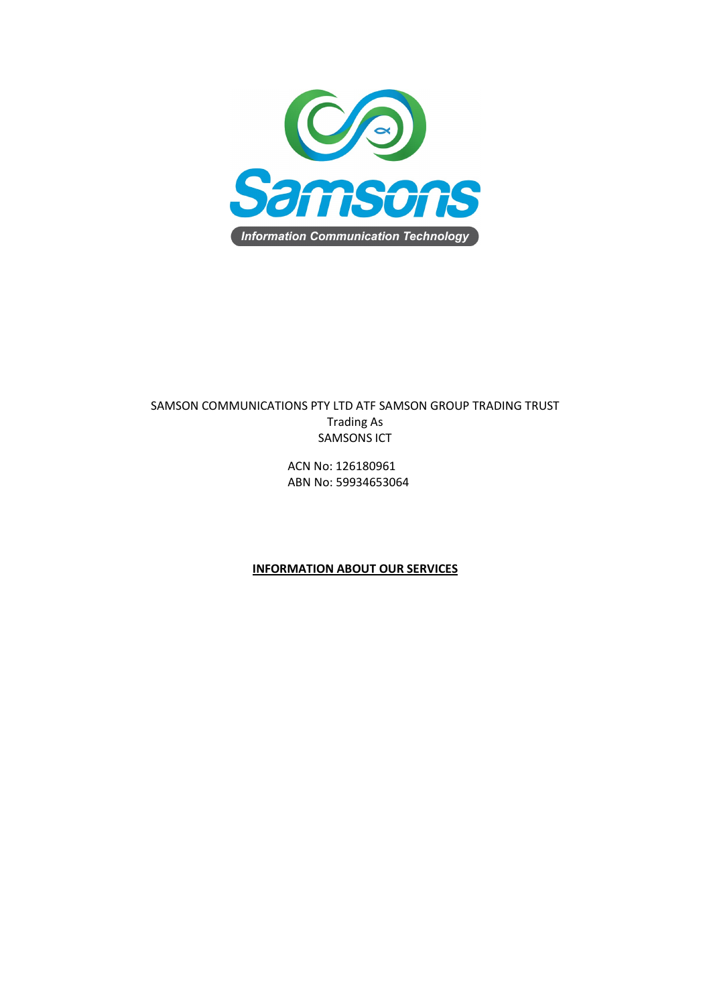

# SAMSON COMMUNICATIONS PTY LTD ATF SAMSON GROUP TRADING TRUST Trading As SAMSONS ICT

ACN No: 126180961 ABN No: 59934653064

## **INFORMATION ABOUT OUR SERVICES**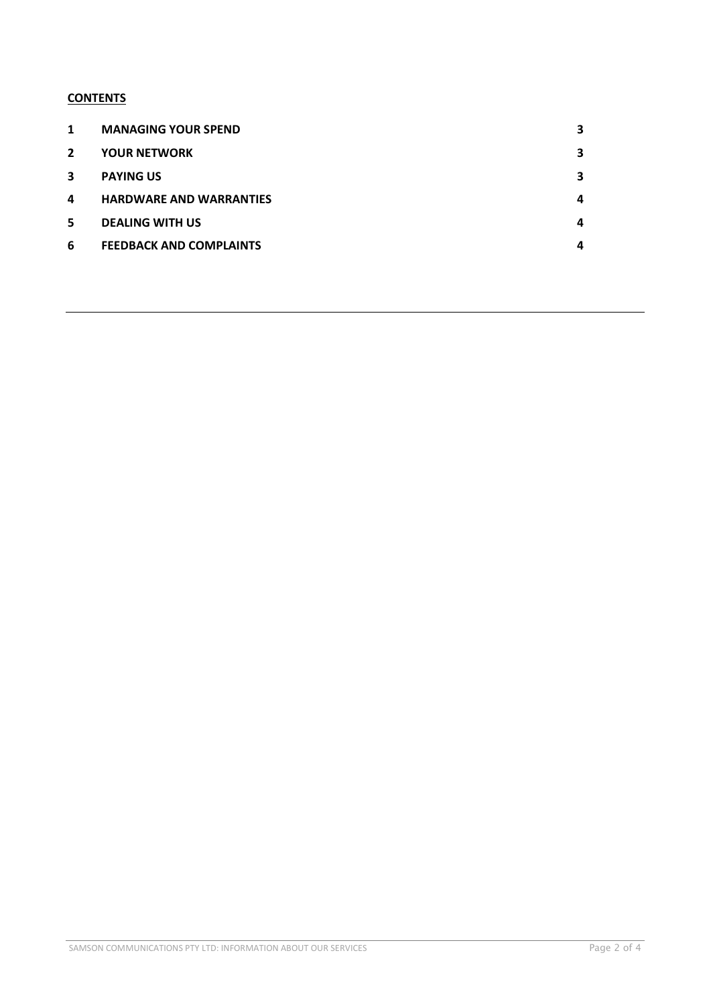## **CONTENTS**

| 1              | <b>MANAGING YOUR SPEND</b>     | 3 |
|----------------|--------------------------------|---|
| $\overline{2}$ | <b>YOUR NETWORK</b>            | 3 |
| 3              | <b>PAYING US</b>               | 3 |
| 4              | <b>HARDWARE AND WARRANTIES</b> | 4 |
| 5              | <b>DEALING WITH US</b>         | 4 |
| 6              | <b>FEEDBACK AND COMPLAINTS</b> | 4 |
|                |                                |   |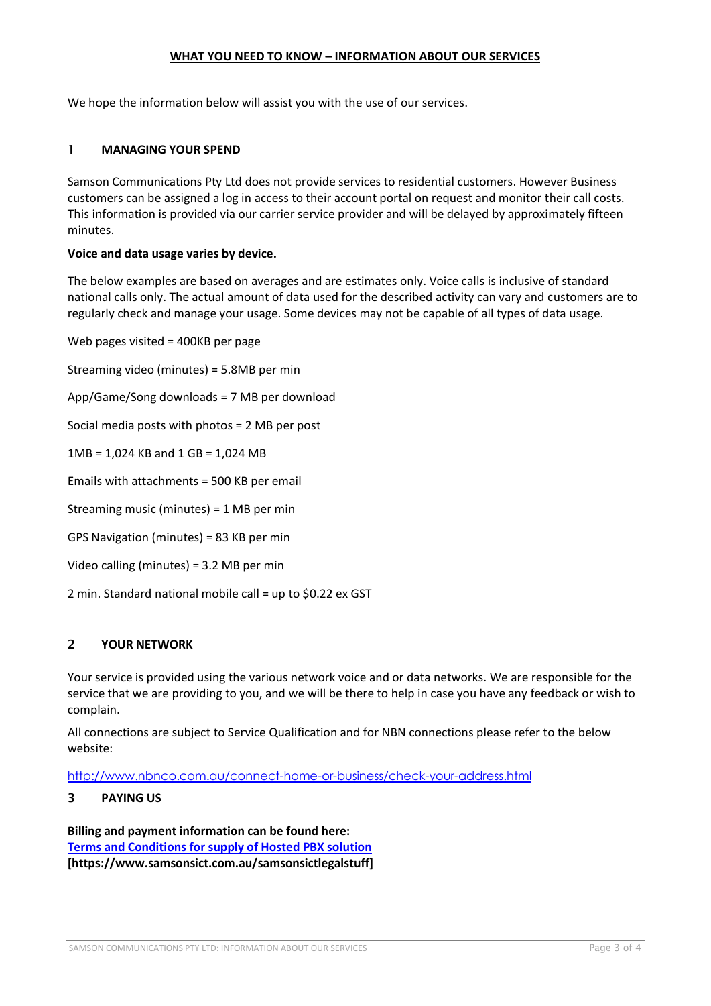## **WHAT YOU NEED TO KNOW – INFORMATION ABOUT OUR SERVICES**

We hope the information below will assist you with the use of our services.

## <span id="page-2-0"></span>1 **MANAGING YOUR SPEND**

Samson Communications Pty Ltd does not provide services to residential customers. However Business customers can be assigned a log in access to their account portal on request and monitor their call costs. This information is provided via our carrier service provider and will be delayed by approximately fifteen minutes.

#### **Voice and data usage varies by device.**

The below examples are based on averages and are estimates only. Voice calls is inclusive of standard national calls only. The actual amount of data used for the described activity can vary and customers are to regularly check and manage your usage. Some devices may not be capable of all types of data usage.

Web pages visited = 400KB per page Streaming video (minutes) = 5.8MB per min App/Game/Song downloads = 7 MB per download Social media posts with photos = 2 MB per post 1MB = 1,024 KB and 1 GB = 1,024 MB Emails with attachments = 500 KB per email Streaming music (minutes) = 1 MB per min GPS Navigation (minutes) = 83 KB per min Video calling (minutes) = 3.2 MB per min

2 min. Standard national mobile call = up to \$0.22 ex GST

## <span id="page-2-1"></span>2 **YOUR NETWORK**

Your service is provided using the various network voice and or data networks. We are responsible for the service that we are providing to you, and we will be there to help in case you have any feedback or wish to complain.

All connections are subject to Service Qualification and for NBN connections please refer to the below website:

<http://www.nbnco.com.au/connect-home-or-business/check-your-address.html>

#### <span id="page-2-2"></span>3 **PAYING US**

**Billing and payment information can be found here: [Terms and Conditions for supply of Hosted PBX solution](https://docs.wixstatic.com/ugd/6f75f1_37ace06c9e234028a9496433a9eb96ed.pdf) [https://www.samsonsict.com.au/samsonsictlegalstuff]**